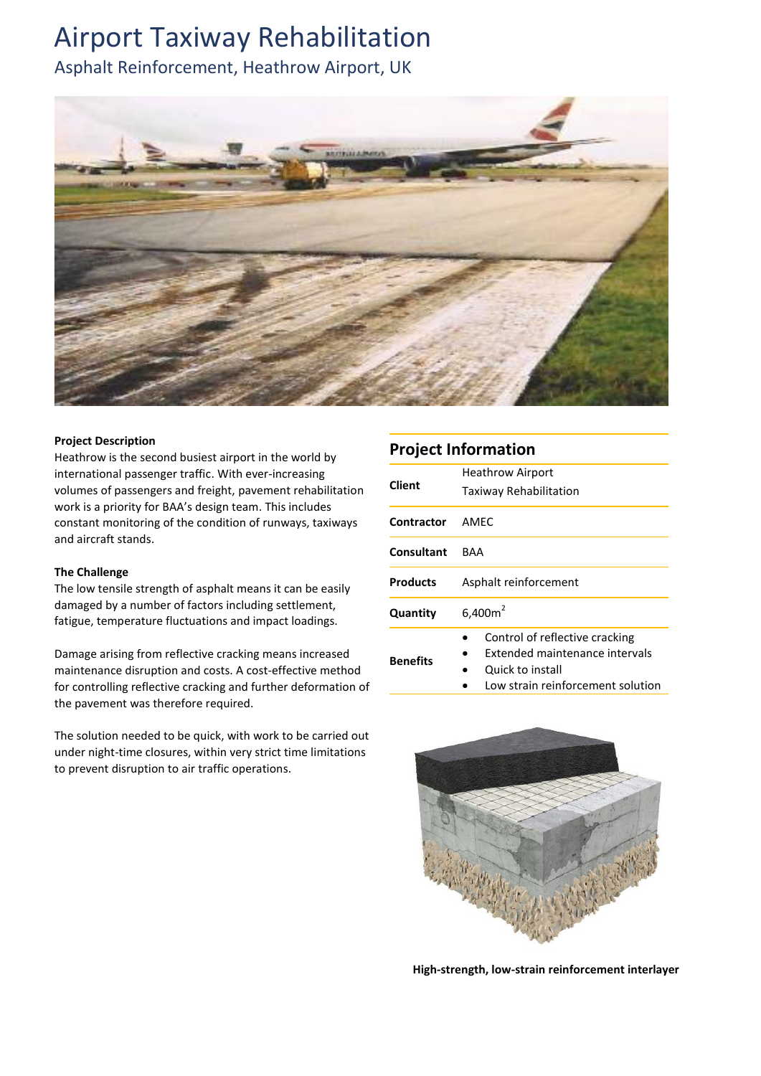## Airport Taxiway Rehabilitation

Asphalt Reinforcement, Heathrow Airport, UK



### **Project Description**

Heathrow is the [second busiest airport in the world by](https://en.wikipedia.org/wiki/List_of_busiest_airports_by_international_passenger_traffic)  [international passenger traffic.](https://en.wikipedia.org/wiki/List_of_busiest_airports_by_international_passenger_traffic) With ever-increasing volumes of passengers and freight, pavement rehabilitation work is a priority for BAA's design team. This includes constant monitoring of the condition of runways, taxiways and aircraft stands.

### **The Challenge**

The low tensile strength of asphalt means it can be easily damaged by a number of factors including settlement, fatigue, temperature fluctuations and impact loadings.

Damage arising from reflective cracking means increased maintenance disruption and costs. A cost-effective method for controlling reflective cracking and further deformation of the pavement was therefore required.

The solution needed to be quick, with work to be carried out under night-time closures, within very strict time limitations to prevent disruption to air traffic operations.

### **Project Information**

| <b>Client</b>     | <b>Heathrow Airport</b><br>Taxiway Rehabilitation                                                                         |
|-------------------|---------------------------------------------------------------------------------------------------------------------------|
| <b>Contractor</b> | AMEC                                                                                                                      |
| Consultant        | <b>BAA</b>                                                                                                                |
| <b>Products</b>   | Asphalt reinforcement                                                                                                     |
| Quantity          | $6,400m^2$                                                                                                                |
| <b>Benefits</b>   | Control of reflective cracking<br>Extended maintenance intervals<br>Quick to install<br>Low strain reinforcement solution |



**High-strength, low-strain reinforcement interlayer**